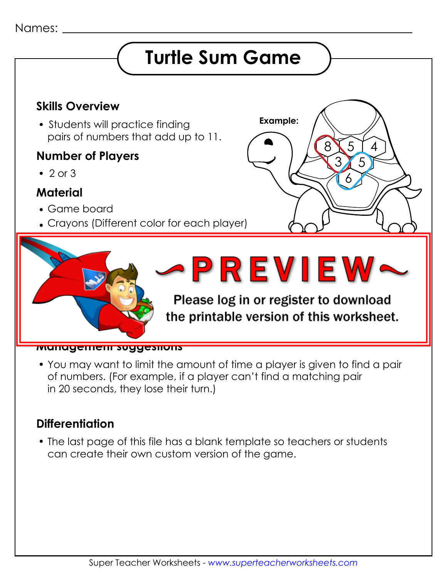## Names:

## **Turtle Sum Game**



 You may want to limit the amount of time a player is given to find a pair of numbers. (For example, if a player can't find a matching pair in 20 seconds, they lose their turn.)

## **Differentiation**

 The last page of this file has a blank template so teachers or students can create their own custom version of the game.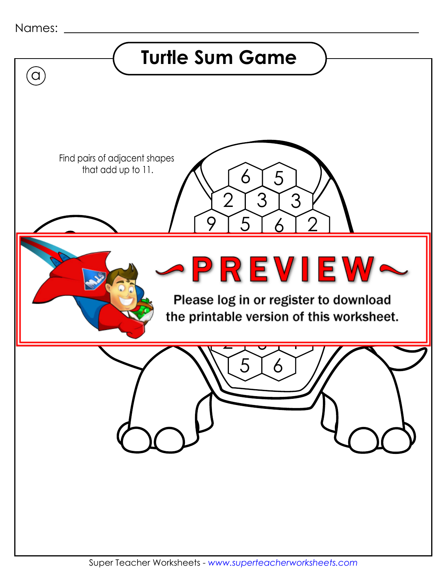| Names: |  |
|--------|--|
|--------|--|

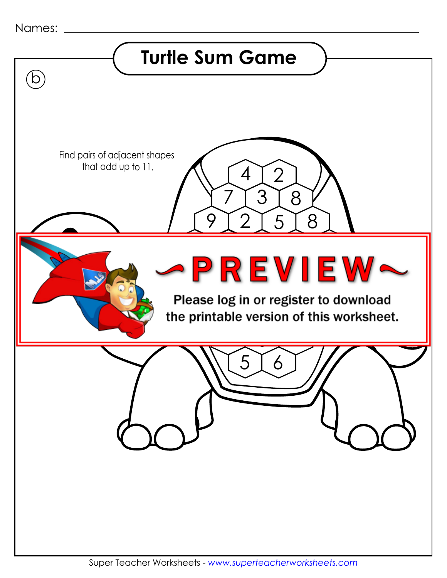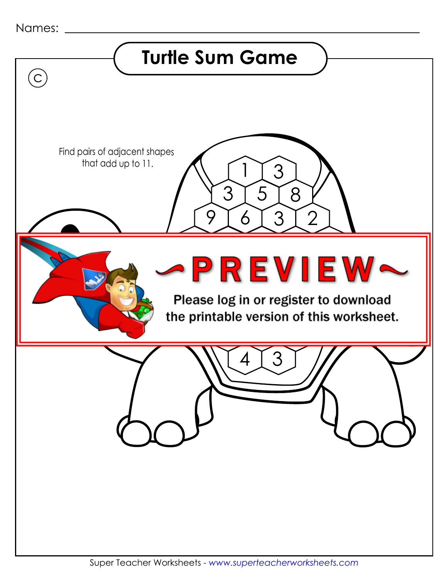| Names: |  |
|--------|--|
|--------|--|

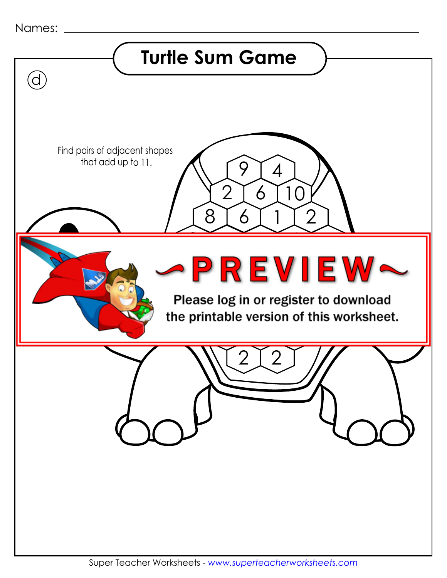| Names:                                                                            |
|-----------------------------------------------------------------------------------|
| <b>Turtle Sum Game</b>                                                            |
| J                                                                                 |
| Find pairs of adjacent shapes                                                     |
| that add up to 11.<br>4<br>$\overline{2}$<br>6                                    |
| 8<br>$\overline{2}$<br>6                                                          |
| PREVIEW                                                                           |
| Please log in or register to download<br>the printable version of this worksheet. |
|                                                                                   |
|                                                                                   |
|                                                                                   |
|                                                                                   |
|                                                                                   |
|                                                                                   |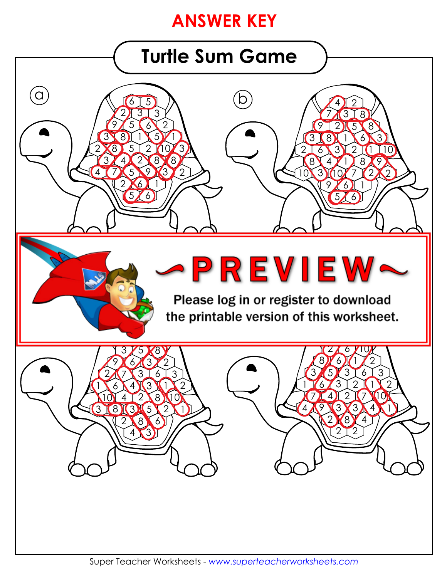## **ANSWER KEY**